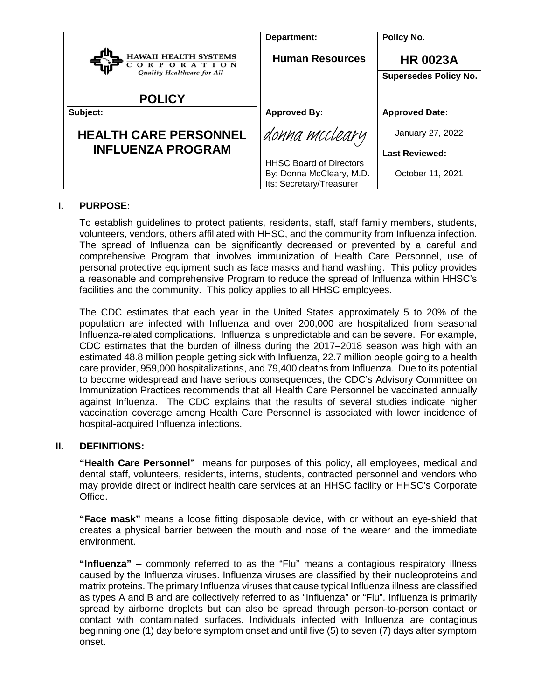|                                                                          | Department:                                                                            | Policy No.                                      |
|--------------------------------------------------------------------------|----------------------------------------------------------------------------------------|-------------------------------------------------|
| <b>HAWAII HEALTH SYSTEMS</b><br>ORPORATION<br>Quality Healthcare for All | <b>Human Resources</b>                                                                 | <b>HR 0023A</b><br><b>Supersedes Policy No.</b> |
| <b>POLICY</b>                                                            |                                                                                        |                                                 |
| Subject:                                                                 | <b>Approved By:</b>                                                                    | <b>Approved Date:</b>                           |
| <b>HEALTH CARE PERSONNEL</b>                                             | donna mccleary                                                                         | January 27, 2022                                |
| <b>INFLUENZA PROGRAM</b>                                                 |                                                                                        | <b>Last Reviewed:</b>                           |
|                                                                          | <b>HHSC Board of Directors</b><br>By: Donna McCleary, M.D.<br>Its: Secretary/Treasurer | October 11, 2021                                |

# **I. PURPOSE:**

To establish guidelines to protect patients, residents, staff, staff family members, students, volunteers, vendors, others affiliated with HHSC, and the community from Influenza infection. The spread of Influenza can be significantly decreased or prevented by a careful and comprehensive Program that involves immunization of Health Care Personnel, use of personal protective equipment such as face masks and hand washing. This policy provides a reasonable and comprehensive Program to reduce the spread of Influenza within HHSC's facilities and the community. This policy applies to all HHSC employees.

The CDC estimates that each year in the United States approximately 5 to 20% of the population are infected with Influenza and over 200,000 are hospitalized from seasonal Influenza-related complications. Influenza is unpredictable and can be severe. For example, CDC estimates that the burden of illness during the 2017–2018 season was high with an estimated 48.8 million people getting sick with Influenza, 22.7 million people going to a health care provider, 959,000 hospitalizations, and 79,400 deaths from Influenza. Due to its potential to become widespread and have serious consequences, the CDC's Advisory Committee on Immunization Practices recommends that all Health Care Personnel be vaccinated annually against Influenza. The CDC explains that the results of several studies indicate higher vaccination coverage among Health Care Personnel is associated with lower incidence of hospital-acquired Influenza infections.

#### **II. DEFINITIONS:**

**"Health Care Personnel"** means for purposes of this policy, all employees, medical and dental staff, volunteers, residents, interns, students, contracted personnel and vendors who may provide direct or indirect health care services at an HHSC facility or HHSC's Corporate Office.

**"Face mask"** means a loose fitting disposable device, with or without an eye-shield that creates a physical barrier between the mouth and nose of the wearer and the immediate environment.

**"Influenza"** – commonly referred to as the "Flu" means a contagious respiratory illness caused by the Influenza viruses. Influenza viruses are classified by their nucleoproteins and matrix proteins. The primary Influenza viruses that cause typical Influenza illness are classified as types A and B and are collectively referred to as "Influenza" or "Flu". Influenza is primarily spread by airborne droplets but can also be spread through person-to-person contact or contact with contaminated surfaces. Individuals infected with Influenza are contagious beginning one (1) day before symptom onset and until five (5) to seven (7) days after symptom onset.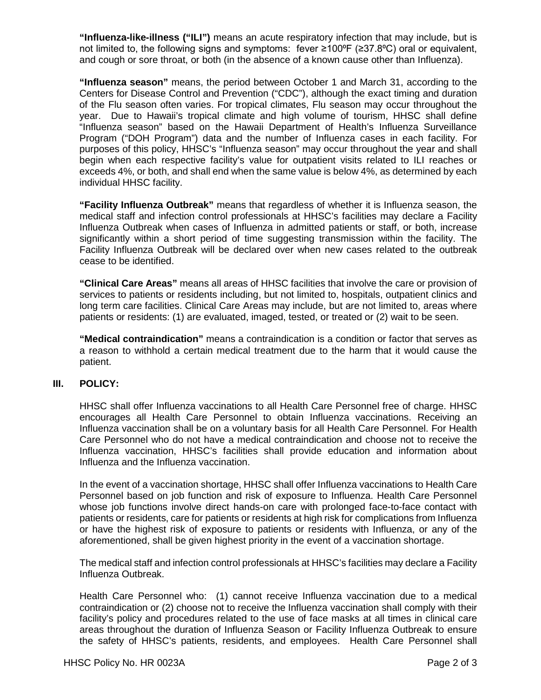**"Influenza-like-illness ("ILI")** means an acute respiratory infection that may include, but is not limited to, the following signs and symptoms: fever  $\geq 100^{\circ}F$  ( $\geq 37.8^{\circ}C$ ) oral or equivalent, and cough or sore throat, or both (in the absence of a known cause other than Influenza).

**"Influenza season"** means, the period between October 1 and March 31, according to the Centers for Disease Control and Prevention ("CDC"), although the exact timing and duration of the Flu season often varies. For tropical climates, Flu season may occur throughout the year. Due to Hawaii's tropical climate and high volume of tourism, HHSC shall define "Influenza season" based on the Hawaii Department of Health's Influenza Surveillance Program ("DOH Program") data and the number of Influenza cases in each facility. For purposes of this policy, HHSC's "Influenza season" may occur throughout the year and shall begin when each respective facility's value for outpatient visits related to ILI reaches or exceeds 4%, or both, and shall end when the same value is below 4%, as determined by each individual HHSC facility.

**"Facility Influenza Outbreak"** means that regardless of whether it is Influenza season, the medical staff and infection control professionals at HHSC's facilities may declare a Facility Influenza Outbreak when cases of Influenza in admitted patients or staff, or both, increase significantly within a short period of time suggesting transmission within the facility. The Facility Influenza Outbreak will be declared over when new cases related to the outbreak cease to be identified.

**"Clinical Care Areas"** means all areas of HHSC facilities that involve the care or provision of services to patients or residents including, but not limited to, hospitals, outpatient clinics and long term care facilities. Clinical Care Areas may include, but are not limited to, areas where patients or residents: (1) are evaluated, imaged, tested, or treated or (2) wait to be seen.

**"Medical contraindication"** means a contraindication is a condition or factor that serves as a reason to withhold a certain medical treatment due to the harm that it would cause the patient.

# **III. POLICY:**

HHSC shall offer Influenza vaccinations to all Health Care Personnel free of charge. HHSC encourages all Health Care Personnel to obtain Influenza vaccinations. Receiving an Influenza vaccination shall be on a voluntary basis for all Health Care Personnel. For Health Care Personnel who do not have a medical contraindication and choose not to receive the Influenza vaccination, HHSC's facilities shall provide education and information about Influenza and the Influenza vaccination.

In the event of a vaccination shortage, HHSC shall offer Influenza vaccinations to Health Care Personnel based on job function and risk of exposure to Influenza. Health Care Personnel whose job functions involve direct hands-on care with prolonged face-to-face contact with patients or residents, care for patients or residents at high risk for complications from Influenza or have the highest risk of exposure to patients or residents with Influenza, or any of the aforementioned, shall be given highest priority in the event of a vaccination shortage.

The medical staff and infection control professionals at HHSC's facilities may declare a Facility Influenza Outbreak.

Health Care Personnel who: (1) cannot receive Influenza vaccination due to a medical contraindication or (2) choose not to receive the Influenza vaccination shall comply with their facility's policy and procedures related to the use of face masks at all times in clinical care areas throughout the duration of Influenza Season or Facility Influenza Outbreak to ensure the safety of HHSC's patients, residents, and employees. Health Care Personnel shall